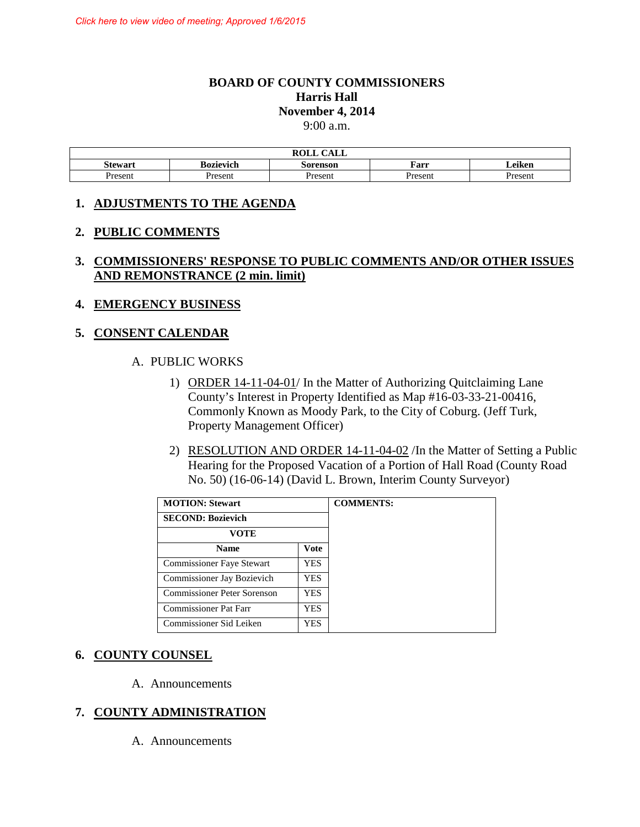### **BOARD OF COUNTY COMMISSIONERS Harris Hall November 4, 2014**  9:00 a.m.

|                |                  | $\sim$ $\sim$ $\sim$ $\sim$<br><b>DATT</b><br>ROLL<br>САЫЛ |         |                   |  |
|----------------|------------------|------------------------------------------------------------|---------|-------------------|--|
| <b>Stewart</b> | <b>Bozievich</b> | Sorenson                                                   | Farr    | $\cdot$<br>Leiken |  |
| Present        | ⊻resent          | resent                                                     | Present | Present           |  |

### **1. ADJUSTMENTS TO THE AGENDA**

### **2. PUBLIC COMMENTS**

## **3. COMMISSIONERS' RESPONSE TO PUBLIC COMMENTS AND/OR OTHER ISSUES AND REMONSTRANCE (2 min. limit)**

### **4. EMERGENCY BUSINESS**

### **5. CONSENT CALENDAR**

#### A. PUBLIC WORKS

- 1) ORDER 14-11-04-01/ In the Matter of Authorizing Quitclaiming Lane County's Interest in Property Identified as Map #16-03-33-21-00416, Commonly Known as Moody Park, to the City of Coburg. (Jeff Turk, Property Management Officer)
- 2) RESOLUTION AND ORDER 14-11-04-02 /In the Matter of Setting a Public Hearing for the Proposed Vacation of a Portion of Hall Road (County Road No. 50) (16-06-14) (David L. Brown, Interim County Surveyor)

| <b>MOTION: Stewart</b>       |            |
|------------------------------|------------|
| <b>SECOND: Bozievich</b>     |            |
| VOTE                         |            |
| <b>Name</b>                  | Vote       |
| Commissioner Faye Stewart    | <b>YES</b> |
| Commissioner Jay Bozievich   | YES.       |
| Commissioner Peter Sorenson  | YES.       |
| <b>Commissioner Pat Farr</b> | YES.       |
| Commissioner Sid Leiken      | YES.       |

### **6. COUNTY COUNSEL**

A. Announcements

### **7. COUNTY ADMINISTRATION**

A. Announcements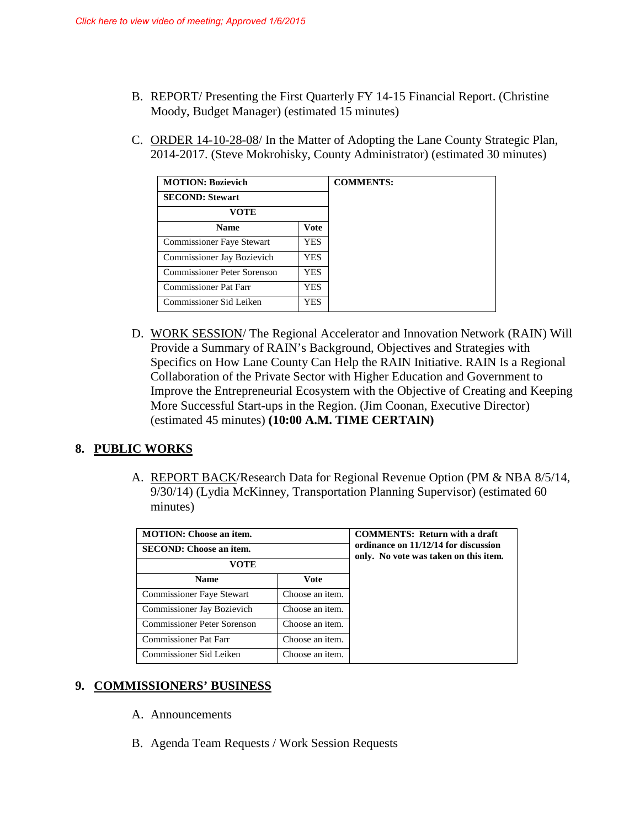- B. REPORT/ Presenting the First Quarterly FY 14-15 Financial Report. (Christine Moody, Budget Manager) (estimated 15 minutes)
- C. ORDER 14-10-28-08/ In the Matter of Adopting the Lane County Strategic Plan, 2014-2017. (Steve Mokrohisky, County Administrator) (estimated 30 minutes)

| <b>MOTION: Bozievich</b>         |             |  |
|----------------------------------|-------------|--|
| <b>SECOND: Stewart</b>           |             |  |
| <b>VOTE</b>                      |             |  |
| <b>Name</b>                      | <b>Vote</b> |  |
| <b>Commissioner Faye Stewart</b> | <b>YES</b>  |  |
| Commissioner Jay Bozievich       | YES.        |  |
| Commissioner Peter Sorenson      | YES.        |  |
| <b>Commissioner Pat Farr</b>     | YES.        |  |
| Commissioner Sid Leiken          | <b>YES</b>  |  |

D. WORK SESSION/ The Regional Accelerator and Innovation Network (RAIN) Will Provide a Summary of RAIN's Background, Objectives and Strategies with Specifics on How Lane County Can Help the RAIN Initiative. RAIN Is a Regional Collaboration of the Private Sector with Higher Education and Government to Improve the Entrepreneurial Ecosystem with the Objective of Creating and Keeping More Successful Start-ups in the Region. (Jim Coonan, Executive Director) (estimated 45 minutes) **(10:00 A.M. TIME CERTAIN)** 

## **8. PUBLIC WORKS**

A. REPORT BACK/Research Data for Regional Revenue Option (PM & NBA 8/5/14, 9/30/14) (Lydia McKinney, Transportation Planning Supervisor) (estimated 60 minutes)

| <b>MOTION:</b> Choose an item.<br><b>SECOND: Choose an item.</b> |                 |
|------------------------------------------------------------------|-----------------|
| VOTE                                                             |                 |
| <b>Name</b>                                                      | <b>Vote</b>     |
| Commissioner Faye Stewart                                        | Choose an item. |
| Commissioner Jay Bozievich                                       | Choose an item. |
| Commissioner Peter Sorenson                                      | Choose an item. |
| <b>Commissioner Pat Farr</b>                                     | Choose an item. |
| Commissioner Sid Leiken                                          | Choose an item. |

## **9. COMMISSIONERS' BUSINESS**

- A. Announcements
- B. Agenda Team Requests / Work Session Requests